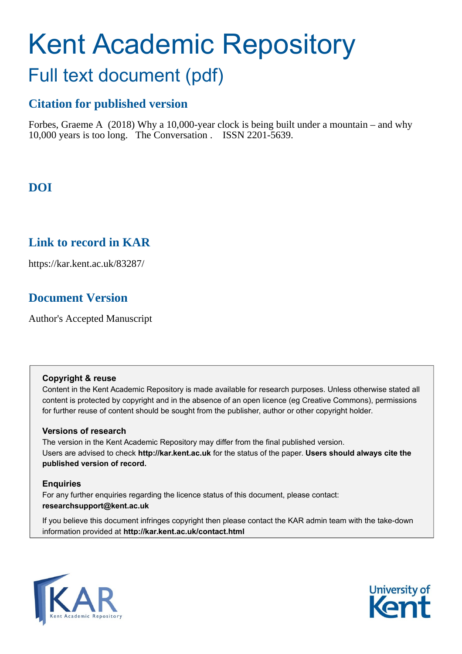# Kent Academic Repository

# Full text document (pdf)

## **Citation for published version**

Forbes, Graeme A (2018) Why a 10,000-year clock is being built under a mountain – and why 10,000 years is too long. The Conversation . ISSN 2201-5639.

# **DOI**

## **Link to record in KAR**

https://kar.kent.ac.uk/83287/

# **Document Version**

Author's Accepted Manuscript

#### **Copyright & reuse**

Content in the Kent Academic Repository is made available for research purposes. Unless otherwise stated all content is protected by copyright and in the absence of an open licence (eg Creative Commons), permissions for further reuse of content should be sought from the publisher, author or other copyright holder.

#### **Versions of research**

The version in the Kent Academic Repository may differ from the final published version. Users are advised to check **http://kar.kent.ac.uk** for the status of the paper. **Users should always cite the published version of record.**

#### **Enquiries**

For any further enquiries regarding the licence status of this document, please contact: **researchsupport@kent.ac.uk**

If you believe this document infringes copyright then please contact the KAR admin team with the take-down information provided at **http://kar.kent.ac.uk/contact.html**



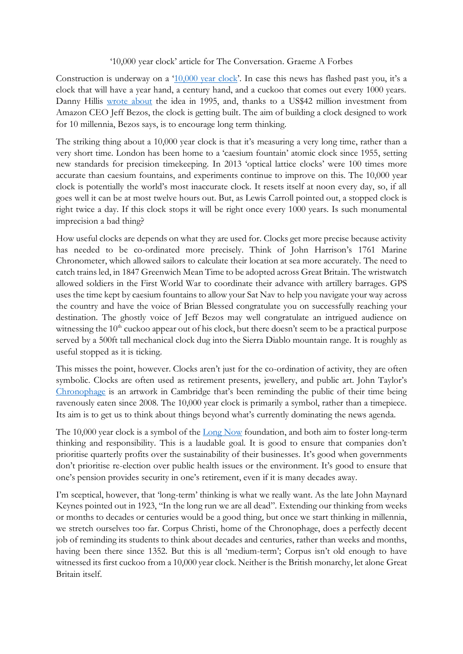#### '10,000 year clock' article for The Conversation. Graeme A Forbes

Construction is underway on a '[10,000 year clock](http://www.10000yearclock.net/learnmore.html)'. In case this news has flashed past you, it's a clock that will have a year hand, a century hand, and a cuckoo that comes out every 1000 years. Danny Hillis [wrote about](https://www.wired.com/1995/12/the-millennium-clock/) the idea in 1995, and, thanks to a US\$42 million investment from Amazon CEO Jeff Bezos, the clock is getting built. The aim of building a clock designed to work for 10 millennia, Bezos says, is to encourage long term thinking.

The striking thing about a 10,000 year clock is that it's measuring a very long time, rather than a very short time. London has been home to a 'caesium fountain' atomic clock since 1955, setting new standards for precision timekeeping. In 2013 'optical lattice clocks' were 100 times more accurate than caesium fountains, and experiments continue to improve on this. The 10,000 year clock is potentially the world's most inaccurate clock. It resets itself at noon every day, so, if all goes well it can be at most twelve hours out. But, as Lewis Carroll pointed out, a stopped clock is right twice a day. If this clock stops it will be right once every 1000 years. Is such monumental imprecision a bad thing?

How useful clocks are depends on what they are used for. Clocks get more precise because activity has needed to be co-ordinated more precisely. Think of John Harrison's 1761 Marine Chronometer, which allowed sailors to calculate their location at sea more accurately. The need to catch trains led, in 1847 Greenwich Mean Time to be adopted across Great Britain. The wristwatch allowed soldiers in the First World War to coordinate their advance with artillery barrages. GPS uses the time kept by caesium fountains to allow your Sat Nav to help you navigate your way across the country and have the voice of Brian Blessed congratulate you on successfully reaching your destination. The ghostly voice of Jeff Bezos may well congratulate an intrigued audience on witnessing the  $10<sup>th</sup>$  cuckoo appear out of his clock, but there doesn't seem to be a practical purpose served by a 500ft tall mechanical clock dug into the Sierra Diablo mountain range. It is roughly as useful stopped as it is ticking.

This misses the point, however. Clocks aren't just for the co-ordination of activity, they are often symbolic. Clocks are often used as retirement presents, jewellery, and public art. John Taylor's [Chronophage](http://www.johnctaylor.com/the-chronophage/) is an artwork in Cambridge that's been reminding the public of their time being ravenously eaten since 2008. The 10,000 year clock is primarily a symbol, rather than a timepiece. Its aim is to get us to think about things beyond what's currently dominating the news agenda.

The 10,000 year clock is a symbol of the [Long Now](longnow.org) foundation, and both aim to foster long-term thinking and responsibility. This is a laudable goal. It is good to ensure that companies don't prioritise quarterly profits over the sustainability of their businesses. It's good when governments don't prioritise re-election over public health issues or the environment. It's good to ensure that one's pension provides security in one's retirement, even if it is many decades away.

I'm sceptical, however, that 'long-term' thinking is what we really want. As the late John Maynard Keynes pointed out in 1923, "In the long run we are all dead". Extending our thinking from weeks or months to decades or centuries would be a good thing, but once we start thinking in millennia, we stretch ourselves too far. Corpus Christi, home of the Chronophage, does a perfectly decent job of reminding its students to think about decades and centuries, rather than weeks and months, having been there since 1352. But this is all 'medium-term'; Corpus isn't old enough to have witnessed its first cuckoo from a 10,000 year clock. Neither is the British monarchy, let alone Great Britain itself.